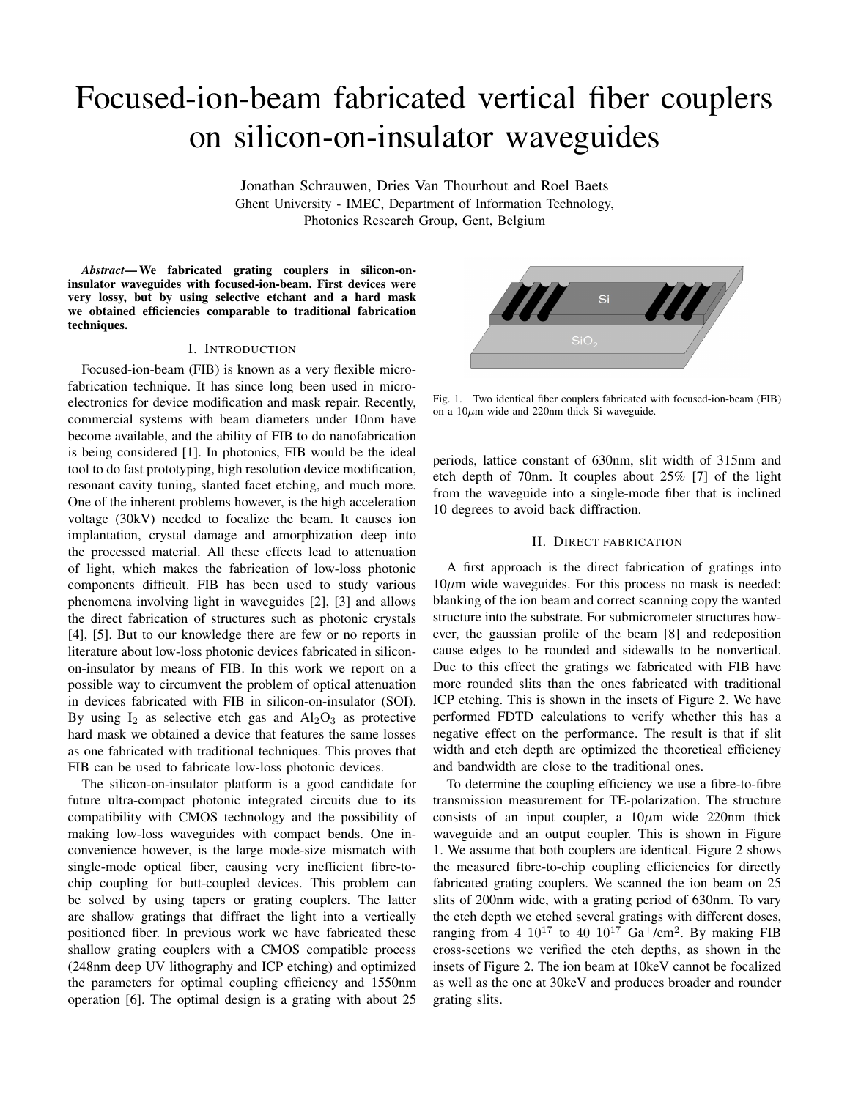# Focused-ion-beam fabricated vertical fiber couplers on silicon-on-insulator waveguides

Jonathan Schrauwen, Dries Van Thourhout and Roel Baets Ghent University - IMEC, Department of Information Technology, Photonics Research Group, Gent, Belgium

*Abstract*— We fabricated grating couplers in silicon-oninsulator waveguides with focused-ion-beam. First devices were very lossy, but by using selective etchant and a hard mask we obtained efficiencies comparable to traditional fabrication techniques.

### I. INTRODUCTION

Focused-ion-beam (FIB) is known as a very flexible microfabrication technique. It has since long been used in microelectronics for device modification and mask repair. Recently, commercial systems with beam diameters under 10nm have become available, and the ability of FIB to do nanofabrication is being considered [1]. In photonics, FIB would be the ideal tool to do fast prototyping, high resolution device modification, resonant cavity tuning, slanted facet etching, and much more. One of the inherent problems however, is the high acceleration voltage (30kV) needed to focalize the beam. It causes ion implantation, crystal damage and amorphization deep into the processed material. All these effects lead to attenuation of light, which makes the fabrication of low-loss photonic components difficult. FIB has been used to study various phenomena involving light in waveguides [2], [3] and allows the direct fabrication of structures such as photonic crystals [4], [5]. But to our knowledge there are few or no reports in literature about low-loss photonic devices fabricated in siliconon-insulator by means of FIB. In this work we report on a possible way to circumvent the problem of optical attenuation in devices fabricated with FIB in silicon-on-insulator (SOI). By using  $I_2$  as selective etch gas and  $Al_2O_3$  as protective hard mask we obtained a device that features the same losses as one fabricated with traditional techniques. This proves that FIB can be used to fabricate low-loss photonic devices.

The silicon-on-insulator platform is a good candidate for future ultra-compact photonic integrated circuits due to its compatibility with CMOS technology and the possibility of making low-loss waveguides with compact bends. One inconvenience however, is the large mode-size mismatch with single-mode optical fiber, causing very inefficient fibre-tochip coupling for butt-coupled devices. This problem can be solved by using tapers or grating couplers. The latter are shallow gratings that diffract the light into a vertically positioned fiber. In previous work we have fabricated these shallow grating couplers with a CMOS compatible process (248nm deep UV lithography and ICP etching) and optimized the parameters for optimal coupling efficiency and 1550nm operation [6]. The optimal design is a grating with about 25



Fig. 1. Two identical fiber couplers fabricated with focused-ion-beam (FIB) on a  $10\mu$ m wide and 220nm thick Si waveguide.

periods, lattice constant of 630nm, slit width of 315nm and etch depth of 70nm. It couples about 25% [7] of the light from the waveguide into a single-mode fiber that is inclined 10 degrees to avoid back diffraction.

# II. DIRECT FABRICATION

A first approach is the direct fabrication of gratings into  $10\mu$ m wide waveguides. For this process no mask is needed: blanking of the ion beam and correct scanning copy the wanted structure into the substrate. For submicrometer structures however, the gaussian profile of the beam [8] and redeposition cause edges to be rounded and sidewalls to be nonvertical. Due to this effect the gratings we fabricated with FIB have more rounded slits than the ones fabricated with traditional ICP etching. This is shown in the insets of Figure 2. We have performed FDTD calculations to verify whether this has a negative effect on the performance. The result is that if slit width and etch depth are optimized the theoretical efficiency and bandwidth are close to the traditional ones.

To determine the coupling efficiency we use a fibre-to-fibre transmission measurement for TE-polarization. The structure consists of an input coupler, a  $10 \mu m$  wide 220nm thick waveguide and an output coupler. This is shown in Figure 1. We assume that both couplers are identical. Figure 2 shows the measured fibre-to-chip coupling efficiencies for directly fabricated grating couplers. We scanned the ion beam on 25 slits of 200nm wide, with a grating period of 630nm. To vary the etch depth we etched several gratings with different doses, ranging from 4  $10^{17}$  to 40  $10^{17}$  Ga<sup>+</sup>/cm<sup>2</sup>. By making FIB cross-sections we verified the etch depths, as shown in the insets of Figure 2. The ion beam at 10keV cannot be focalized as well as the one at 30keV and produces broader and rounder grating slits.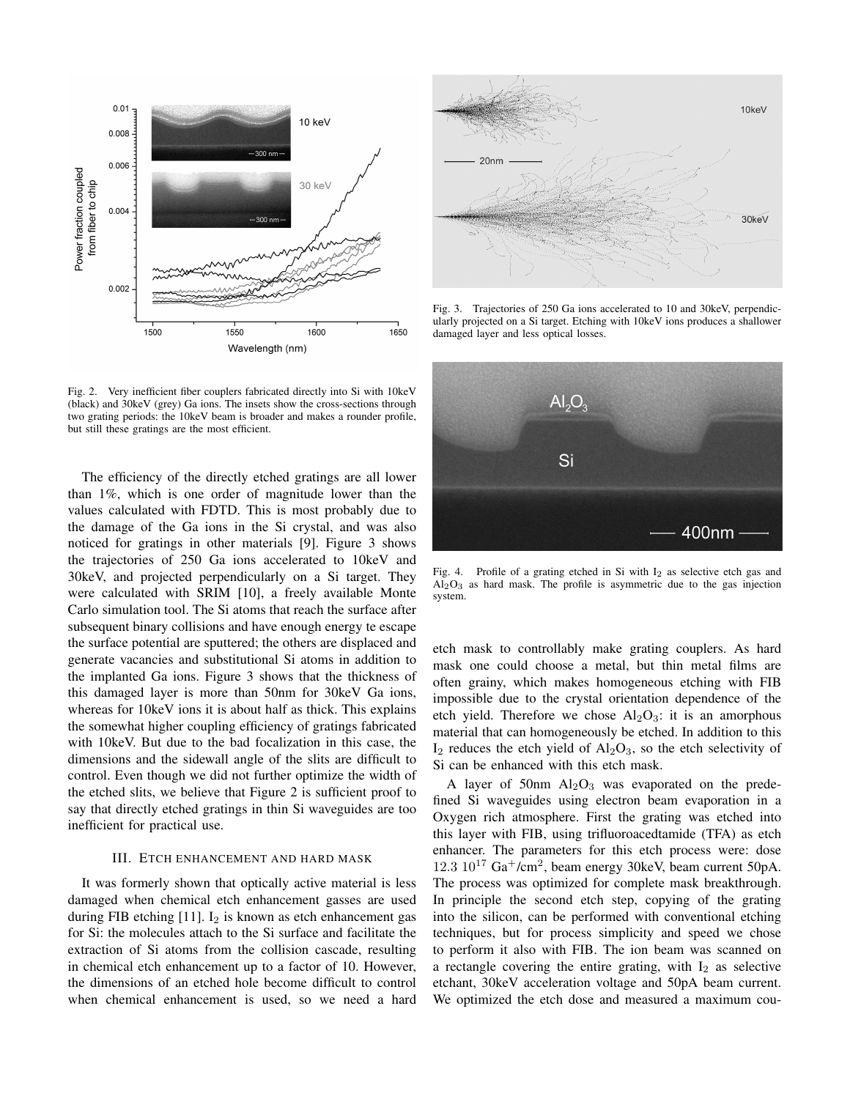

Fig. 2. Very inefficient fiber couplers fabricated directly into Si with 10keV (black) and 30keV (grey) Ga ions. The insets show the cross-sections through two grating periods: the 10keV beam is broader and makes a rounder profile, but still these gratings are the most efficient.

The efficiency of the directly etched gratings are all lower than 1%, which is one order of magnitude lower than the values calculated with FDTD. This is most probably due to the damage of the Ga ions in the Si crystal, and was also noticed for gratings in other materials [9]. Figure 3 shows the trajectories of 250 Ga ions accelerated to 10keV and 30keV, and projected perpendicularly on a Si target. They were calculated with SRIM [10], a freely available Monte Carlo simulation tool. The Si atoms that reach the surface after subsequent binary collisions and have enough energy te escape the surface potential are sputtered; the others are displaced and generate vacancies and substitutional Si atoms in addition to the implanted Ga ions. Figure 3 shows that the thickness of this damaged layer is more than 50nm for 30keV Ga ions, whereas for 10keV ions it is about half as thick. This explains the somewhat higher coupling efficiency of gratings fabricated with 10keV. But due to the bad focalization in this case, the dimensions and the sidewall angle of the slits are difficult to control. Even though we did not further optimize the width of the etched slits, we believe that Figure 2 is sufficient proof to say that directly etched gratings in thin Si waveguides are too inefficient for practical use.

### III. ETCH ENHANCEMENT AND HARD MASK

It was formerly shown that optically active material is less damaged when chemical etch enhancement gasses are used during FIB etching  $[11]$ . I<sub>2</sub> is known as etch enhancement gas for Si: the molecules attach to the Si surface and facilitate the extraction of Si atoms from the collision cascade, resulting in chemical etch enhancement up to a factor of 10. However, the dimensions of an etched hole become difficult to control when chemical enhancement is used, so we need a hard



Fig. 3. Trajectories of 250 Ga ions accelerated to 10 and 30keV, perpendicularly projected on a Si target. Etching with 10keV ions produces a shallower damaged layer and less optical losses.



Fig. 4. Profile of a grating etched in Si with  $I_2$  as selective etch gas and  $Al<sub>2</sub>O<sub>3</sub>$  as hard mask. The profile is asymmetric due to the gas injection system.

etch mask to controllably make grating couplers. As hard mask one could choose a metal, but thin metal films are often grainy, which makes homogeneous etching with FIB impossible due to the crystal orientation dependence of the etch yield. Therefore we chose  $Al_2O_3$ : it is an amorphous material that can homogeneously be etched. In addition to this  $I_2$  reduces the etch yield of  $Al_2O_3$ , so the etch selectivity of Si can be enhanced with this etch mask.

A layer of 50nm  $\text{Al}_2\text{O}_3$  was evaporated on the predefined Si waveguides using electron beam evaporation in a Oxygen rich atmosphere. First the grating was etched into this layer with FIB, using trifluoroacedtamide (TFA) as etch enhancer. The parameters for this etch process were: dose  $12.3 \times 10^{17}$  Ga<sup>+</sup>/cm<sup>2</sup>, beam energy 30keV, beam current 50pA. The process was optimized for complete mask breakthrough. In principle the second etch step, copying of the grating into the silicon, can be performed with conventional etching techniques, but for process simplicity and speed we chose to perform it also with FIB. The ion beam was scanned on a rectangle covering the entire grating, with  $I_2$  as selective etchant, 30keV acceleration voltage and 50pA beam current. We optimized the etch dose and measured a maximum cou-